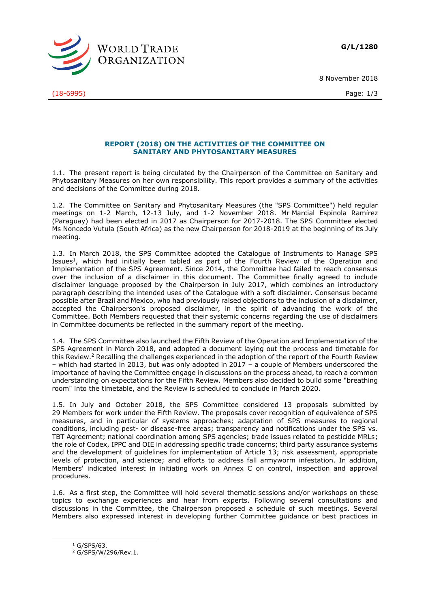**G/L/1280**



(18-6995) Page: 1/3

8 November 2018

## **REPORT (2018) ON THE ACTIVITIES OF THE COMMITTEE ON SANITARY AND PHYTOSANITARY MEASURES**

1.1. The present report is being circulated by the Chairperson of the Committee on Sanitary and Phytosanitary Measures on her own responsibility. This report provides a summary of the activities and decisions of the Committee during 2018.

1.2. The Committee on Sanitary and Phytosanitary Measures (the "SPS Committee") held regular meetings on 1-2 March, 12-13 July, and 1-2 November 2018. Mr Marcial Espínola Ramírez (Paraguay) had been elected in 2017 as Chairperson for 2017-2018. The SPS Committee elected Ms Noncedo Vutula (South Africa) as the new Chairperson for 2018-2019 at the beginning of its July meeting.

1.3. In March 2018, the SPS Committee adopted the Catalogue of Instruments to Manage SPS Issues<sup>1</sup>, which had initially been tabled as part of the Fourth Review of the Operation and Implementation of the SPS Agreement. Since 2014, the Committee had failed to reach consensus over the inclusion of a disclaimer in this document. The Committee finally agreed to include disclaimer language proposed by the Chairperson in July 2017, which combines an introductory paragraph describing the intended uses of the Catalogue with a soft disclaimer. Consensus became possible after Brazil and Mexico, who had previously raised objections to the inclusion of a disclaimer, accepted the Chairperson's proposed disclaimer, in the spirit of advancing the work of the Committee. Both Members requested that their systemic concerns regarding the use of disclaimers in Committee documents be reflected in the summary report of the meeting.

1.4. The SPS Committee also launched the Fifth Review of the Operation and Implementation of the SPS Agreement in March 2018, and adopted a document laying out the process and timetable for this Review.<sup>2</sup> Recalling the challenges experienced in the adoption of the report of the Fourth Review – which had started in 2013, but was only adopted in 2017 – a couple of Members underscored the importance of having the Committee engage in discussions on the process ahead, to reach a common understanding on expectations for the Fifth Review. Members also decided to build some "breathing room" into the timetable, and the Review is scheduled to conclude in March 2020.

1.5. In July and October 2018, the SPS Committee considered 13 proposals submitted by 29 Members for work under the Fifth Review. The proposals cover recognition of equivalence of SPS measures, and in particular of systems approaches; adaptation of SPS measures to regional conditions, including pest- or disease-free areas; transparency and notifications under the SPS vs. TBT Agreement; national coordination among SPS agencies; trade issues related to pesticide MRLs; the role of Codex, IPPC and OIE in addressing specific trade concerns; third party assurance systems and the development of guidelines for implementation of Article 13; risk assessment, appropriate levels of protection, and science; and efforts to address fall armyworm infestation. In addition, Members' indicated interest in initiating work on Annex C on control, inspection and approval procedures.

1.6. As a first step, the Committee will hold several thematic sessions and/or workshops on these topics to exchange experiences and hear from experts. Following several consultations and discussions in the Committee, the Chairperson proposed a schedule of such meetings. Several Members also expressed interest in developing further Committee guidance or best practices in

 $1$  G/SPS/63.

-

<sup>2</sup> G/SPS/W/296/Rev.1.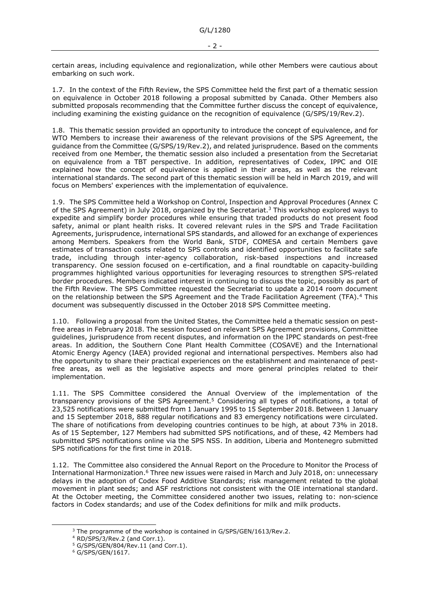certain areas, including equivalence and regionalization, while other Members were cautious about embarking on such work.

1.7. In the context of the Fifth Review, the SPS Committee held the first part of a thematic session on equivalence in October 2018 following a proposal submitted by Canada. Other Members also submitted proposals recommending that the Committee further discuss the concept of equivalence, including examining the existing guidance on the recognition of equivalence (G/SPS/19/Rev.2).

1.8. This thematic session provided an opportunity to introduce the concept of equivalence, and for WTO Members to increase their awareness of the relevant provisions of the SPS Agreement, the guidance from the Committee (G/SPS/19/Rev.2), and related jurisprudence. Based on the comments received from one Member, the thematic session also included a presentation from the Secretariat on equivalence from a TBT perspective. In addition, representatives of Codex, IPPC and OIE explained how the concept of equivalence is applied in their areas, as well as the relevant international standards. The second part of this thematic session will be held in March 2019, and will focus on Members' experiences with the implementation of equivalence.

1.9. The SPS Committee held a Workshop on Control, Inspection and Approval Procedures (Annex C of the SPS Agreement) in July 2018, organized by the Secretariat.<sup>3</sup> This workshop explored ways to expedite and simplify border procedures while ensuring that traded products do not present food safety, animal or plant health risks. It covered relevant rules in the SPS and Trade Facilitation Agreements, jurisprudence, international SPS standards, and allowed for an exchange of experiences among Members. Speakers from the World Bank, STDF, COMESA and certain Members gave estimates of transaction costs related to SPS controls and identified opportunities to facilitate safe trade, including through inter-agency collaboration, risk-based inspections and increased transparency. One session focused on e-certification, and a final roundtable on capacity-building programmes highlighted various opportunities for leveraging resources to strengthen SPS-related border procedures. Members indicated interest in continuing to discuss the topic, possibly as part of the Fifth Review. The SPS Committee requested the Secretariat to update a 2014 room document on the relationship between the SPS Agreement and the Trade Facilitation Agreement (TFA).<sup>4</sup> This document was subsequently discussed in the October 2018 SPS Committee meeting.

1.10. Following a proposal from the United States, the Committee held a thematic session on pestfree areas in February 2018. The session focused on relevant SPS Agreement provisions, Committee guidelines, jurisprudence from recent disputes, and information on the IPPC standards on pest-free areas. In addition, the Southern Cone Plant Health Committee (COSAVE) and the International Atomic Energy Agency (IAEA) provided regional and international perspectives. Members also had the opportunity to share their practical experiences on the establishment and maintenance of pestfree areas, as well as the legislative aspects and more general principles related to their implementation.

1.11. The SPS Committee considered the Annual Overview of the implementation of the transparency provisions of the SPS Agreement.<sup>5</sup> Considering all types of notifications, a total of 23,525 notifications were submitted from 1 January 1995 to 15 September 2018. Between 1 January and 15 September 2018, 888 regular notifications and 83 emergency notifications were circulated. The share of notifications from developing countries continues to be high, at about 73% in 2018. As of 15 September, 127 Members had submitted SPS notifications, and of these, 42 Members had submitted SPS notifications online via the SPS NSS. In addition, Liberia and Montenegro submitted SPS notifications for the first time in 2018.

1.12. The Committee also considered the Annual Report on the Procedure to Monitor the Process of International Harmonization.<sup>6</sup> Three new issues were raised in March and July 2018, on: unnecessary delays in the adoption of Codex Food Additive Standards; risk management related to the global movement in plant seeds; and ASF restrictions not consistent with the OIE international standard. At the October meeting, the Committee considered another two issues, relating to: non-science factors in Codex standards; and use of the Codex definitions for milk and milk products.

-

<sup>&</sup>lt;sup>3</sup> The programme of the workshop is contained in G/SPS/GEN/1613/Rev.2.

<sup>4</sup> RD/SPS/3/Rev.2 (and Corr.1).

 $5$  G/SPS/GEN/804/Rev.11 (and Corr.1).

<sup>6</sup> G/SPS/GEN/1617.